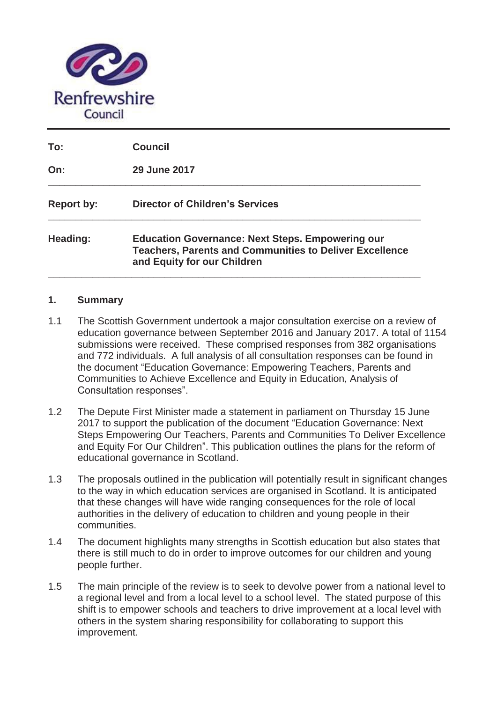

| To:               | <b>Council</b>                                                                                                                                           |
|-------------------|----------------------------------------------------------------------------------------------------------------------------------------------------------|
| On:               | <b>29 June 2017</b>                                                                                                                                      |
| <b>Report by:</b> | <b>Director of Children's Services</b>                                                                                                                   |
| Heading:          | <b>Education Governance: Next Steps. Empowering our</b><br><b>Teachers, Parents and Communities to Deliver Excellence</b><br>and Equity for our Children |

#### **1. Summary**

- 1.1 The Scottish Government undertook a major consultation exercise on a review of education governance between September 2016 and January 2017. A total of 1154 submissions were received. These comprised responses from 382 organisations and 772 individuals. A full analysis of all consultation responses can be found in the document "Education Governance: Empowering Teachers, Parents and Communities to Achieve Excellence and Equity in Education, Analysis of Consultation responses".
- 1.2 The Depute First Minister made a statement in parliament on Thursday 15 June 2017 to support the publication of the document "Education Governance: Next Steps Empowering Our Teachers, Parents and Communities To Deliver Excellence and Equity For Our Children". This publication outlines the plans for the reform of educational governance in Scotland.
- 1.3 The proposals outlined in the publication will potentially result in significant changes to the way in which education services are organised in Scotland. It is anticipated that these changes will have wide ranging consequences for the role of local authorities in the delivery of education to children and young people in their communities.
- 1.4 The document highlights many strengths in Scottish education but also states that there is still much to do in order to improve outcomes for our children and young people further.
- 1.5 The main principle of the review is to seek to devolve power from a national level to a regional level and from a local level to a school level. The stated purpose of this shift is to empower schools and teachers to drive improvement at a local level with others in the system sharing responsibility for collaborating to support this improvement.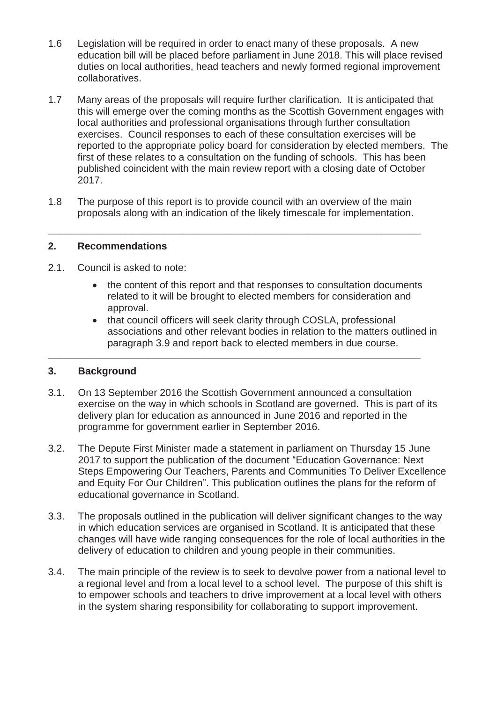- 1.6 Legislation will be required in order to enact many of these proposals. A new education bill will be placed before parliament in June 2018. This will place revised duties on local authorities, head teachers and newly formed regional improvement collaboratives.
- 1.7 Many areas of the proposals will require further clarification. It is anticipated that this will emerge over the coming months as the Scottish Government engages with local authorities and professional organisations through further consultation exercises. Council responses to each of these consultation exercises will be reported to the appropriate policy board for consideration by elected members. The first of these relates to a consultation on the funding of schools. This has been published coincident with the main review report with a closing date of October 2017.
- 1.8 The purpose of this report is to provide council with an overview of the main proposals along with an indication of the likely timescale for implementation.

**\_\_\_\_\_\_\_\_\_\_\_\_\_\_\_\_\_\_\_\_\_\_\_\_\_\_\_\_\_\_\_\_\_\_\_\_\_\_\_\_\_\_\_\_\_\_\_\_\_\_\_\_\_\_\_\_\_\_\_\_\_\_\_\_\_\_\_** 

### **2. Recommendations**

- 2.1. Council is asked to note:
	- the content of this report and that responses to consultation documents related to it will be brought to elected members for consideration and approval.
	- that council officers will seek clarity through COSLA, professional associations and other relevant bodies in relation to the matters outlined in paragraph 3.9 and report back to elected members in due course.

### **3. Background**

3.1. On 13 September 2016 the Scottish Government announced a consultation exercise on the way in which schools in Scotland are governed. This is part of its delivery plan for education as announced in June 2016 and reported in the programme for government earlier in September 2016.

**\_\_\_\_\_\_\_\_\_\_\_\_\_\_\_\_\_\_\_\_\_\_\_\_\_\_\_\_\_\_\_\_\_\_\_\_\_\_\_\_\_\_\_\_\_\_\_\_\_\_\_\_\_\_\_\_\_\_\_\_\_\_\_\_\_\_\_** 

- 3.2. The Depute First Minister made a statement in parliament on Thursday 15 June 2017 to support the publication of the document "Education Governance: Next Steps Empowering Our Teachers, Parents and Communities To Deliver Excellence and Equity For Our Children". This publication outlines the plans for the reform of educational governance in Scotland.
- 3.3. The proposals outlined in the publication will deliver significant changes to the way in which education services are organised in Scotland. It is anticipated that these changes will have wide ranging consequences for the role of local authorities in the delivery of education to children and young people in their communities.
- 3.4. The main principle of the review is to seek to devolve power from a national level to a regional level and from a local level to a school level. The purpose of this shift is to empower schools and teachers to drive improvement at a local level with others in the system sharing responsibility for collaborating to support improvement.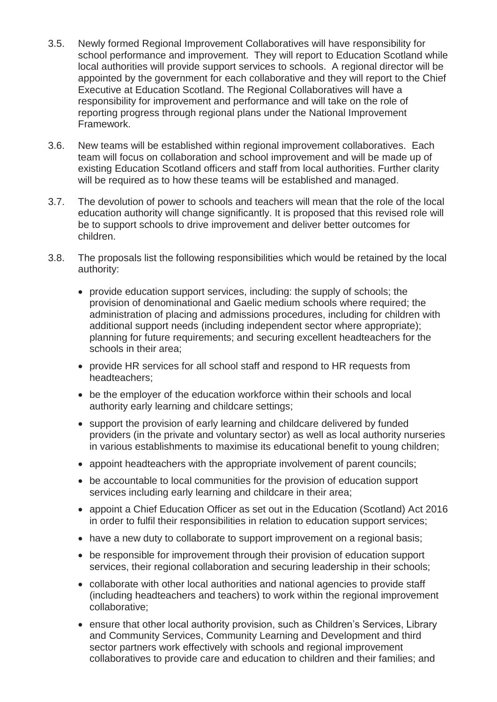- 3.5. Newly formed Regional Improvement Collaboratives will have responsibility for school performance and improvement. They will report to Education Scotland while local authorities will provide support services to schools. A regional director will be appointed by the government for each collaborative and they will report to the Chief Executive at Education Scotland. The Regional Collaboratives will have a responsibility for improvement and performance and will take on the role of reporting progress through regional plans under the National Improvement Framework.
- 3.6. New teams will be established within regional improvement collaboratives. Each team will focus on collaboration and school improvement and will be made up of existing Education Scotland officers and staff from local authorities. Further clarity will be required as to how these teams will be established and managed.
- 3.7. The devolution of power to schools and teachers will mean that the role of the local education authority will change significantly. It is proposed that this revised role will be to support schools to drive improvement and deliver better outcomes for children.
- 3.8. The proposals list the following responsibilities which would be retained by the local authority:
	- provide education support services, including: the supply of schools; the provision of denominational and Gaelic medium schools where required; the administration of placing and admissions procedures, including for children with additional support needs (including independent sector where appropriate); planning for future requirements; and securing excellent headteachers for the schools in their area;
	- provide HR services for all school staff and respond to HR requests from headteachers;
	- be the employer of the education workforce within their schools and local authority early learning and childcare settings;
	- support the provision of early learning and childcare delivered by funded providers (in the private and voluntary sector) as well as local authority nurseries in various establishments to maximise its educational benefit to young children;
	- appoint headteachers with the appropriate involvement of parent councils;
	- be accountable to local communities for the provision of education support services including early learning and childcare in their area;
	- appoint a Chief Education Officer as set out in the Education (Scotland) Act 2016 in order to fulfil their responsibilities in relation to education support services;
	- have a new duty to collaborate to support improvement on a regional basis;
	- be responsible for improvement through their provision of education support services, their regional collaboration and securing leadership in their schools;
	- collaborate with other local authorities and national agencies to provide staff (including headteachers and teachers) to work within the regional improvement collaborative;
	- ensure that other local authority provision, such as Children's Services, Library and Community Services, Community Learning and Development and third sector partners work effectively with schools and regional improvement collaboratives to provide care and education to children and their families; and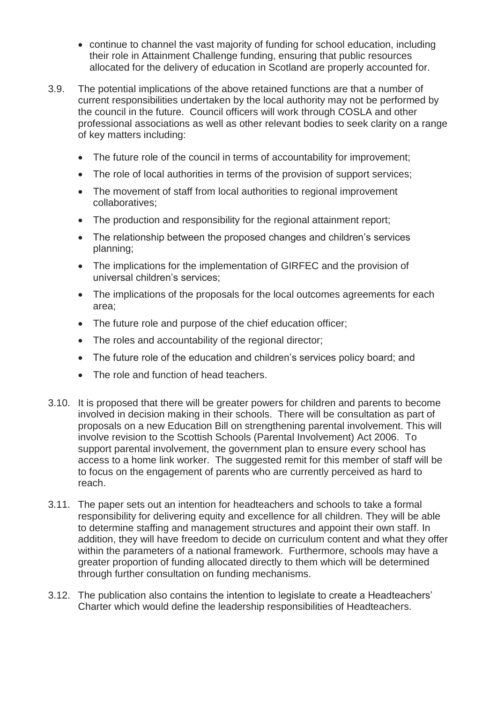- continue to channel the vast majority of funding for school education, including their role in Attainment Challenge funding, ensuring that public resources allocated for the delivery of education in Scotland are properly accounted for.
- 3.9. The potential implications of the above retained functions are that a number of current responsibilities undertaken by the local authority may not be performed by the council in the future. Council officers will work through COSLA and other professional associations as well as other relevant bodies to seek clarity on a range of key matters including:
	- The future role of the council in terms of accountability for improvement;
	- The role of local authorities in terms of the provision of support services;
	- The movement of staff from local authorities to regional improvement collaboratives;
	- The production and responsibility for the regional attainment report;
	- The relationship between the proposed changes and children's services planning;
	- The implications for the implementation of GIRFEC and the provision of universal children's services;
	- The implications of the proposals for the local outcomes agreements for each area;
	- The future role and purpose of the chief education officer;
	- The roles and accountability of the regional director;
	- The future role of the education and children's services policy board; and
	- The role and function of head teachers.
- 3.10. It is proposed that there will be greater powers for children and parents to become involved in decision making in their schools. There will be consultation as part of proposals on a new Education Bill on strengthening parental involvement. This will involve revision to the Scottish Schools (Parental Involvement) Act 2006. To support parental involvement, the government plan to ensure every school has access to a home link worker. The suggested remit for this member of staff will be to focus on the engagement of parents who are currently perceived as hard to reach.
- 3.11. The paper sets out an intention for headteachers and schools to take a formal responsibility for delivering equity and excellence for all children. They will be able to determine staffing and management structures and appoint their own staff. In addition, they will have freedom to decide on curriculum content and what they offer within the parameters of a national framework. Furthermore, schools may have a greater proportion of funding allocated directly to them which will be determined through further consultation on funding mechanisms.
- 3.12. The publication also contains the intention to legislate to create a Headteachers' Charter which would define the leadership responsibilities of Headteachers.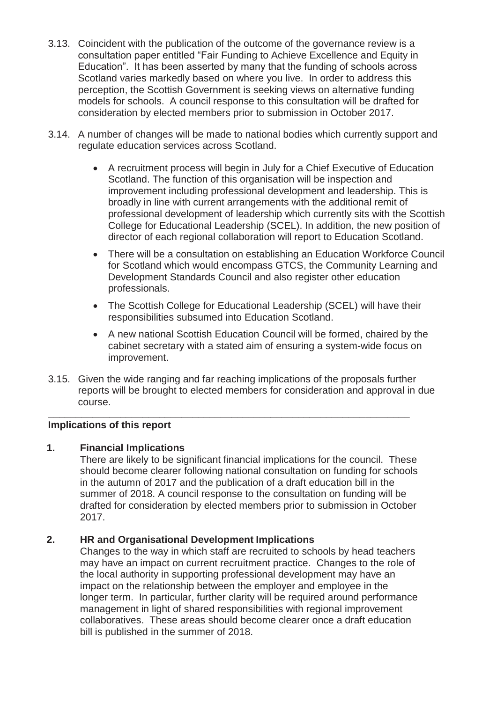- 3.13. Coincident with the publication of the outcome of the governance review is a consultation paper entitled "Fair Funding to Achieve Excellence and Equity in Education". It has been asserted by many that the funding of schools across Scotland varies markedly based on where you live. In order to address this perception, the Scottish Government is seeking views on alternative funding models for schools. A council response to this consultation will be drafted for consideration by elected members prior to submission in October 2017.
- 3.14. A number of changes will be made to national bodies which currently support and regulate education services across Scotland.
	- A recruitment process will begin in July for a Chief Executive of Education Scotland. The function of this organisation will be inspection and improvement including professional development and leadership. This is broadly in line with current arrangements with the additional remit of professional development of leadership which currently sits with the Scottish College for Educational Leadership (SCEL). In addition, the new position of director of each regional collaboration will report to Education Scotland.
	- There will be a consultation on establishing an Education Workforce Council for Scotland which would encompass GTCS, the Community Learning and Development Standards Council and also register other education professionals.
	- The Scottish College for Educational Leadership (SCEL) will have their responsibilities subsumed into Education Scotland.
	- A new national Scottish Education Council will be formed, chaired by the cabinet secretary with a stated aim of ensuring a system-wide focus on improvement.
- 3.15. Given the wide ranging and far reaching implications of the proposals further reports will be brought to elected members for consideration and approval in due course.

**\_\_\_\_\_\_\_\_\_\_\_\_\_\_\_\_\_\_\_\_\_\_\_\_\_\_\_\_\_\_\_\_\_\_\_\_\_\_\_\_\_\_\_\_\_\_\_\_\_\_\_\_\_\_\_\_\_\_\_\_\_\_\_\_\_** 

### **Implications of this report**

### **1. Financial Implications**

There are likely to be significant financial implications for the council. These should become clearer following national consultation on funding for schools in the autumn of 2017 and the publication of a draft education bill in the summer of 2018. A council response to the consultation on funding will be drafted for consideration by elected members prior to submission in October 2017.

# **2. HR and Organisational Development Implications**

Changes to the way in which staff are recruited to schools by head teachers may have an impact on current recruitment practice. Changes to the role of the local authority in supporting professional development may have an impact on the relationship between the employer and employee in the longer term. In particular, further clarity will be required around performance management in light of shared responsibilities with regional improvement collaboratives. These areas should become clearer once a draft education bill is published in the summer of 2018.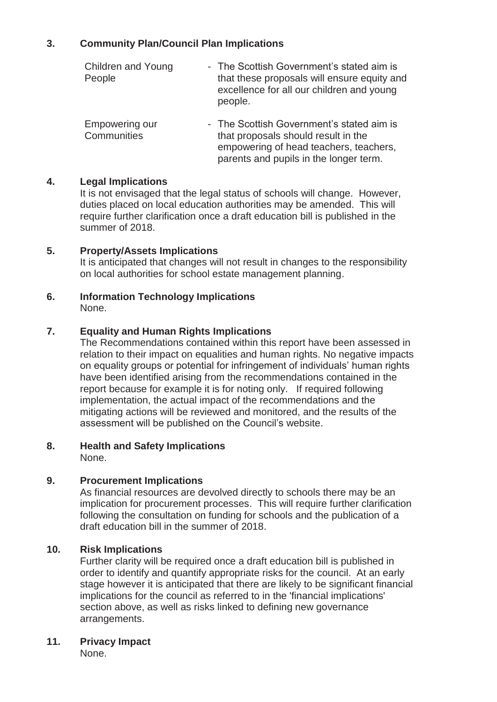# **3. Community Plan/Council Plan Implications**

| Children and Young<br>People          | - The Scottish Government's stated aim is<br>that these proposals will ensure equity and<br>excellence for all our children and young<br>people. |
|---------------------------------------|--------------------------------------------------------------------------------------------------------------------------------------------------|
| Empowering our                        | - The Scottish Government's stated aim is                                                                                                        |
| $\bigcap$ is a second to be $\bigcap$ | المتعالم المدارات والمتعمل المالية والمتحال والمتحدث والمتحال والمتحالة                                                                          |

**Communities** that proposals should result in the empowering of head teachers, teachers, parents and pupils in the longer term.

# **4. Legal Implications**

It is not envisaged that the legal status of schools will change. However, duties placed on local education authorities may be amended. This will require further clarification once a draft education bill is published in the summer of 2018.

### **5. Property/Assets Implications**

It is anticipated that changes will not result in changes to the responsibility on local authorities for school estate management planning.

**6. Information Technology Implications**  None.

### **7. Equality and Human Rights Implications**

The Recommendations contained within this report have been assessed in relation to their impact on equalities and human rights. No negative impacts on equality groups or potential for infringement of individuals' human rights have been identified arising from the recommendations contained in the report because for example it is for noting only. If required following implementation, the actual impact of the recommendations and the mitigating actions will be reviewed and monitored, and the results of the assessment will be published on the Council's website.

# **8. Health and Safety Implications**

None.

### **9. Procurement Implications**

As financial resources are devolved directly to schools there may be an implication for procurement processes. This will require further clarification following the consultation on funding for schools and the publication of a draft education bill in the summer of 2018.

### **10. Risk Implications**

Further clarity will be required once a draft education bill is published in order to identify and quantify appropriate risks for the council. At an early stage however it is anticipated that there are likely to be significant financial implications for the council as referred to in the 'financial implications' section above, as well as risks linked to defining new governance arrangements.

### **11. Privacy Impact**

None.